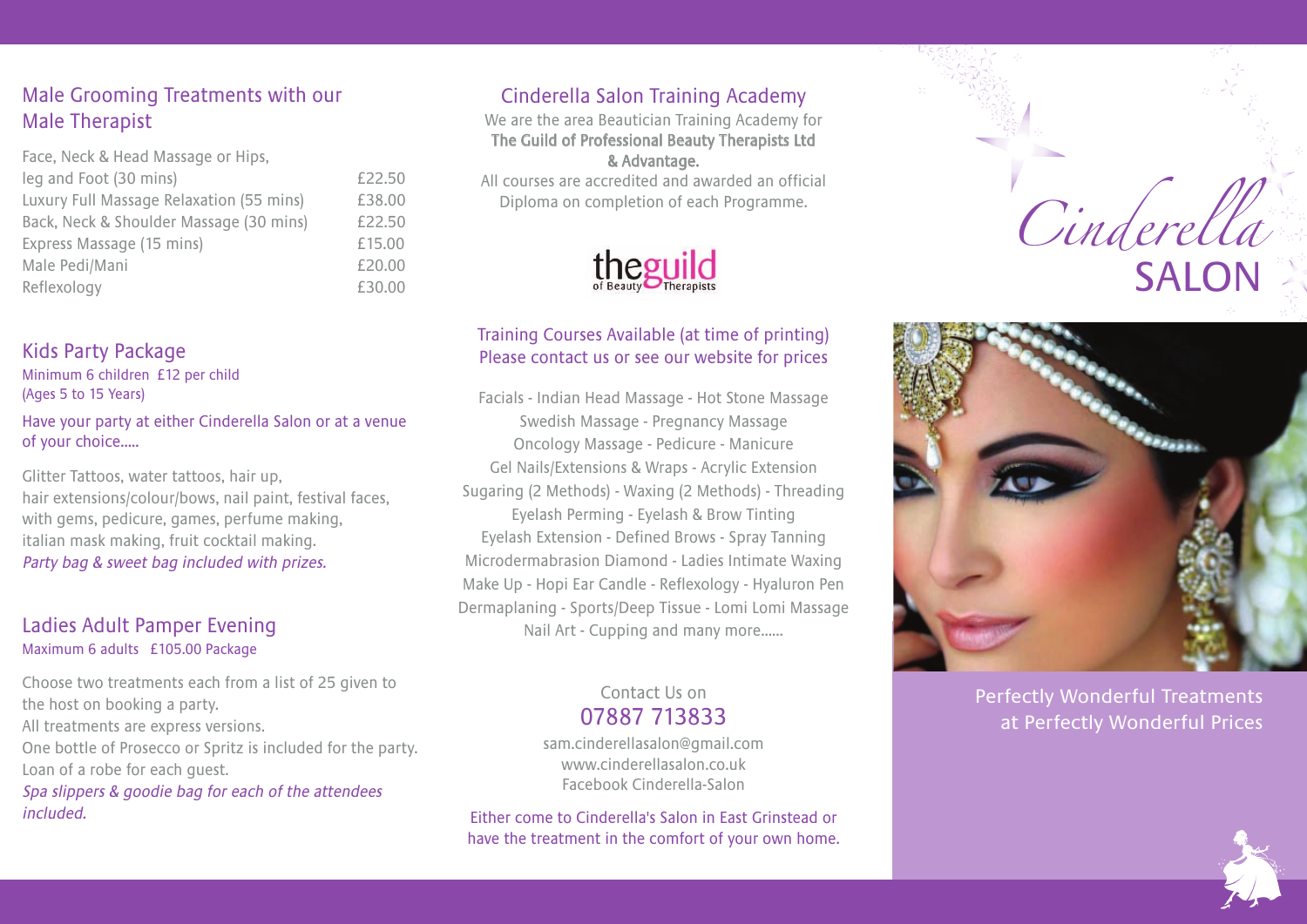## Male Grooming Treatments with our Male Therapist

| Face, Neck & Head Massage or Hips,       |        |
|------------------------------------------|--------|
| leg and Foot (30 mins)                   | £22.50 |
| Luxury Full Massage Relaxation (55 mins) | £38.00 |
| Back, Neck & Shoulder Massage (30 mins)  | £22.50 |
| Express Massage (15 mins)                | £15.00 |
| Male Pedi/Mani                           | £20.00 |
| Reflexology                              | £30.00 |
|                                          |        |

#### Kids Party Package

Minimum 6 children £12 per child (Ages 5 to 15 Years)

Have your party at either Cinderella Salon or at a venue of your choice…..

Glitter Tattoos, water tattoos, hair up, hair extensions/colour/bows, nail paint, festival faces, with gems, pedicure, games, perfume making, italian mask making, fruit cocktail making. Party bag & sweet bag included with prizes.

#### Ladies Adult Pamper Evening Maximum 6 adults £105.00 Package

Choose two treatments each from a list of 25 given to the host on booking a party. All treatments are express versions. One bottle of Prosecco or Spritz is included for the party. Loan of a robe for each guest.

Spa slippers & goodie bag for each of the attendees included.

# Cinderella Salon Training Academy

We are the area Beautician Training Academy for The Guild of Professional Beauty Therapists Ltd & Advantage.

All courses are accredited and awarded an official Diploma on completion of each Programme.



#### Training Courses Available (at time of printing) Please contact us or see our website for prices

Facials - Indian Head Massage - Hot Stone Massage Swedish Massage - Pregnancy Massage Oncology Massage - Pedicure - Manicure Gel Nails/Extensions & Wraps - Acrylic Extension Sugaring (2 Methods) - Waxing (2 Methods) - Threading Eyelash Perming - Eyelash & Brow Tinting Eyelash Extension - Defined Brows - Spray Tanning Microdermabrasion Diamond - Ladies Intimate Waxing Make Up - Hopi Ear Candle - Reflexology - Hyaluron Pen Dermaplaning - Sports/Deep Tissue - Lomi Lomi Massage Nail Art - Cupping and many more……

#### Contact Us on 07887 713833

sam.cinderellasalon@gmail.com www.cinderellasalon.co.uk Facebook Cinderella-Salon

Either come to Cinderella's Salon in East Grinstead or have the treatment in the comfort of your own home.





Perfectly Wonderful Treatments at Perfectly Wonderful Prices